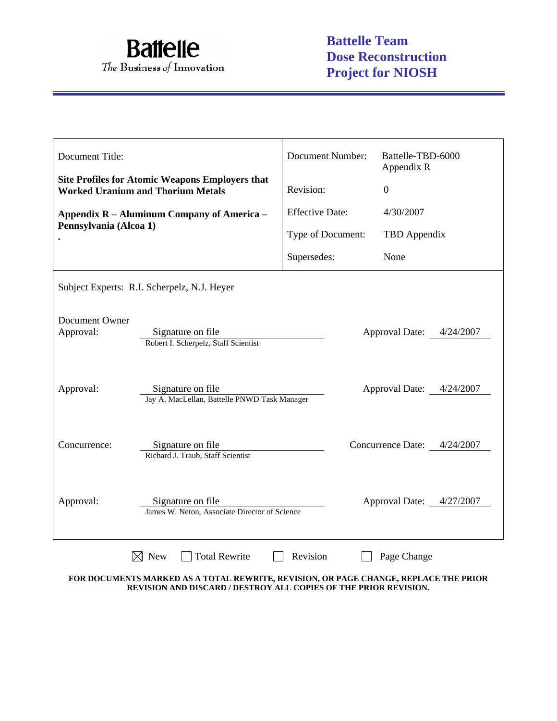

| Document Title:                                                                                    |                                                                                               | <b>Document Number:</b> | Battelle-TBD-6000<br>Appendix R |  |  |  |
|----------------------------------------------------------------------------------------------------|-----------------------------------------------------------------------------------------------|-------------------------|---------------------------------|--|--|--|
| <b>Site Profiles for Atomic Weapons Employers that</b><br><b>Worked Uranium and Thorium Metals</b> |                                                                                               | Revision:               | $\overline{0}$                  |  |  |  |
| Appendix R – Aluminum Company of America –<br>Pennsylvania (Alcoa 1)                               |                                                                                               | <b>Effective Date:</b>  | 4/30/2007                       |  |  |  |
|                                                                                                    |                                                                                               | Type of Document:       | TBD Appendix                    |  |  |  |
|                                                                                                    |                                                                                               | Supersedes:             | None                            |  |  |  |
|                                                                                                    | Subject Experts: R.I. Scherpelz, N.J. Heyer                                                   |                         |                                 |  |  |  |
| Document Owner<br>Approval:                                                                        | Signature on file<br>Approval Date: 4/24/2007<br>Robert I. Scherpelz, Staff Scientist         |                         |                                 |  |  |  |
| Approval:                                                                                          | Approval Date: 4/24/2007<br>Signature on file<br>Jay A. MacLellan, Battelle PNWD Task Manager |                         |                                 |  |  |  |
| Concurrence:                                                                                       | Signature on file<br>Richard J. Traub, Staff Scientist                                        |                         | Concurrence Date: 4/24/2007     |  |  |  |
| Approval:                                                                                          | Signature on file<br>James W. Neton, Associate Director of Science                            |                         | Approval Date: 4/27/2007        |  |  |  |
|                                                                                                    | New<br><b>Total Rewrite</b>                                                                   | Revision                | Page Change                     |  |  |  |

**FOR DOCUMENTS MARKED AS A TOTAL REWRITE, REVISION, OR PAGE CHANGE, REPLACE THE PRIOR REVISION AND DISCARD / DESTROY ALL COPIES OF THE PRIOR REVISION.**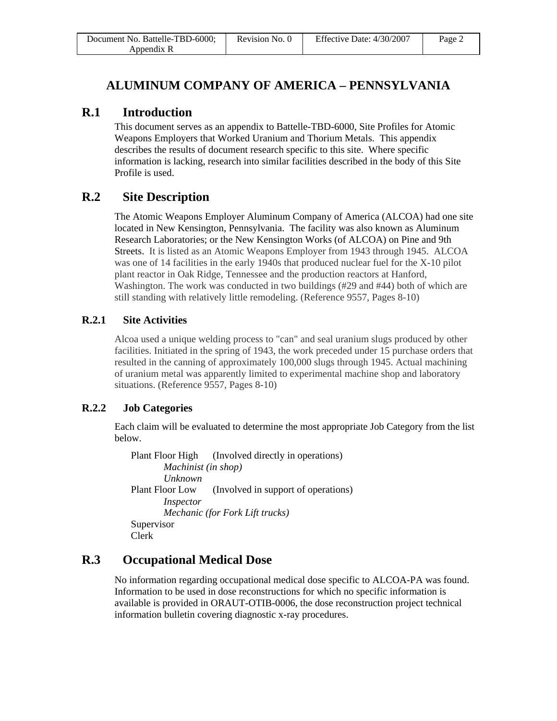| Document No. Battelle-TBD-6000; | Revision No. 0 | Effective Date: 4/30/2007 | Page 2 |
|---------------------------------|----------------|---------------------------|--------|
| Appendix R                      |                |                           |        |

## **ALUMINUM COMPANY OF AMERICA – PENNSYLVANIA**

### **R.1 Introduction**

This document serves as an appendix to Battelle-TBD-6000, Site Profiles for Atomic Weapons Employers that Worked Uranium and Thorium Metals. This appendix describes the results of document research specific to this site. Where specific information is lacking, research into similar facilities described in the body of this Site Profile is used.

# **R.2 Site Description**

The Atomic Weapons Employer Aluminum Company of America (ALCOA) had one site located in New Kensington, Pennsylvania. The facility was also known as Aluminum Research Laboratories; or the New Kensington Works (of ALCOA) on Pine and 9th Streets. It is listed as an Atomic Weapons Employer from 1943 through 1945. ALCOA was one of 14 facilities in the early 1940s that produced nuclear fuel for the X-10 pilot plant reactor in Oak Ridge, Tennessee and the production reactors at Hanford, Washington. The work was conducted in two buildings (#29 and #44) both of which are still standing with relatively little remodeling. (Reference 9557, Pages 8-10)

### **R.2.1 Site Activities**

Alcoa used a unique welding process to "can" and seal uranium slugs produced by other facilities. Initiated in the spring of 1943, the work preceded under 15 purchase orders that resulted in the canning of approximately 100,000 slugs through 1945. Actual machining of uranium metal was apparently limited to experimental machine shop and laboratory situations. (Reference 9557, Pages 8-10)

### **R.2.2 Job Categories**

Each claim will be evaluated to determine the most appropriate Job Category from the list below.

Plant Floor High (Involved directly in operations) *Machinist (in shop) Unknown*  Plant Floor Low (Involved in support of operations) *Inspector Mechanic (for Fork Lift trucks)*  Supervisor Clerk

# **R.3 Occupational Medical Dose**

No information regarding occupational medical dose specific to ALCOA-PA was found. Information to be used in dose reconstructions for which no specific information is available is provided in ORAUT-OTIB-0006, the dose reconstruction project technical information bulletin covering diagnostic x-ray procedures.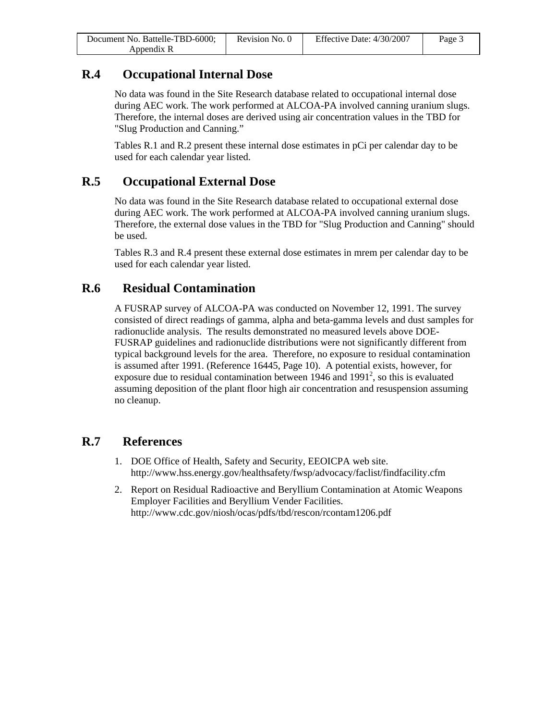| Document No. Battelle-TBD-6000; | Revision No. 0 | Effective Date: 4/30/2007 | Page 3 |
|---------------------------------|----------------|---------------------------|--------|
| Appendix R                      |                |                           |        |

# **R.4 Occupational Internal Dose**

No data was found in the Site Research database related to occupational internal dose during AEC work. The work performed at ALCOA-PA involved canning uranium slugs. Therefore, the internal doses are derived using air concentration values in the TBD for "Slug Production and Canning."

Tables R.1 and R.2 present these internal dose estimates in pCi per calendar day to be used for each calendar year listed.

# **R.5 Occupational External Dose**

No data was found in the Site Research database related to occupational external dose during AEC work. The work performed at ALCOA-PA involved canning uranium slugs. Therefore, the external dose values in the TBD for "Slug Production and Canning" should be used.

Tables R.3 and R.4 present these external dose estimates in mrem per calendar day to be used for each calendar year listed.

## **R.6 Residual Contamination**

A FUSRAP survey of ALCOA-PA was conducted on November 12, 1991. The survey consisted of direct readings of gamma, alpha and beta-gamma levels and dust samples for radionuclide analysis. The results demonstrated no measured levels above DOE-FUSRAP guidelines and radionuclide distributions were not significantly different from typical background levels for the area. Therefore, no exposure to residual contamination is assumed after 1991. (Reference 16445, Page 10). A potential exists, however, for exposure due to residual contamination between  $1946$  and  $1991<sup>2</sup>$ , so this is evaluated assuming deposition of the plant floor high air concentration and resuspension assuming no cleanup.

## **R.7 References**

- 1. DOE Office of Health, Safety and Security, EEOICPA web site. http://www.hss.energy.gov/healthsafety/fwsp/advocacy/faclist/findfacility.cfm
- 2. Report on Residual Radioactive and Beryllium Contamination at Atomic Weapons Employer Facilities and Beryllium Vender Facilities. http://www.cdc.gov/niosh/ocas/pdfs/tbd/rescon/rcontam1206.pdf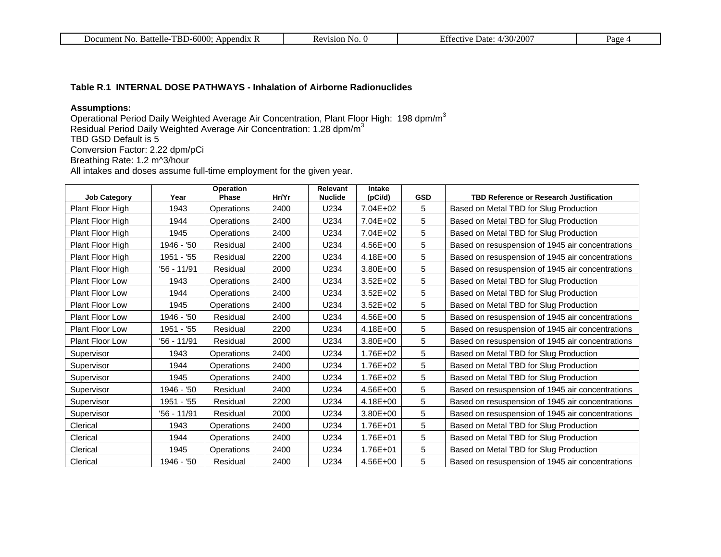| $-6000.$<br>mp)<br>Appendix<br>Document<br>NO.<br>ffelle.<br>--<br>. | 31 U<br>NU.<br>. . | (200)<br>$ -$<br>221<br>Jate <sup>.</sup><br>----<br>50/<br>- 1 | $a$ ge |
|----------------------------------------------------------------------|--------------------|-----------------------------------------------------------------|--------|
|----------------------------------------------------------------------|--------------------|-----------------------------------------------------------------|--------|

#### **Table R.1 INTERNAL DOSE PATHWAYS - Inhalation of Airborne Radionuclides**

#### **Assumptions:**

Operational Period Daily Weighted Average Air Concentration, Plant Floor High: 198 dpm/m $^3$ Residual Period Daily Weighted Average Air Concentration: 1.28 dpm/m<sup>3</sup>

TBD GSD Default is 5

Conversion Factor: 2.22 dpm/pCi

Breathing Rate: 1.2 m^3/hour

All intakes and doses assume full-time employment for the given year.

| <b>Job Category</b>    | Year        | Operation<br>Phase | Hr/Yr | Relevant<br><b>Nuclide</b> | Intake<br>(pCi/d) | <b>GSD</b> | <b>TBD Reference or Research Justification</b>   |
|------------------------|-------------|--------------------|-------|----------------------------|-------------------|------------|--------------------------------------------------|
| Plant Floor High       | 1943        | Operations         | 2400  | U234                       | 7.04E+02          | 5          | Based on Metal TBD for Slug Production           |
| Plant Floor High       | 1944        | Operations         | 2400  | U234                       | 7.04E+02          | 5          | Based on Metal TBD for Slug Production           |
| Plant Floor High       | 1945        | Operations         | 2400  | U234                       | 7.04E+02          | 5          | Based on Metal TBD for Slug Production           |
| Plant Floor High       | 1946 - '50  | Residual           | 2400  | U234                       | 4.56E+00          | 5          | Based on resuspension of 1945 air concentrations |
| Plant Floor High       | 1951 - '55  | Residual           | 2200  | U234                       | 4.18E+00          | 5          | Based on resuspension of 1945 air concentrations |
| Plant Floor High       | '56 - 11/91 | Residual           | 2000  | U234                       | 3.80E+00          | 5          | Based on resuspension of 1945 air concentrations |
| <b>Plant Floor Low</b> | 1943        | Operations         | 2400  | U234                       | $3.52E + 02$      | 5          | Based on Metal TBD for Slug Production           |
| Plant Floor Low        | 1944        | Operations         | 2400  | U234                       | $3.52E + 02$      | 5          | Based on Metal TBD for Slug Production           |
| Plant Floor Low        | 1945        | Operations         | 2400  | U234                       | $3.52E + 02$      | 5          | Based on Metal TBD for Slug Production           |
| <b>Plant Floor Low</b> | 1946 - '50  | Residual           | 2400  | U234                       | 4.56E+00          | 5          | Based on resuspension of 1945 air concentrations |
| <b>Plant Floor Low</b> | 1951 - '55  | Residual           | 2200  | U234                       | 4.18E+00          | 5          | Based on resuspension of 1945 air concentrations |
| Plant Floor Low        | '56 - 11/91 | Residual           | 2000  | U234                       | 3.80E+00          | 5          | Based on resuspension of 1945 air concentrations |
| Supervisor             | 1943        | Operations         | 2400  | U234                       | 1.76E+02          | 5          | Based on Metal TBD for Slug Production           |
| Supervisor             | 1944        | Operations         | 2400  | U234                       | 1.76E+02          | 5          | Based on Metal TBD for Slug Production           |
| Supervisor             | 1945        | Operations         | 2400  | U234                       | 1.76E+02          | 5          | Based on Metal TBD for Slug Production           |
| Supervisor             | 1946 - '50  | Residual           | 2400  | U234                       | 4.56E+00          | 5          | Based on resuspension of 1945 air concentrations |
| Supervisor             | 1951 - '55  | Residual           | 2200  | U234                       | 4.18E+00          | 5          | Based on resuspension of 1945 air concentrations |
| Supervisor             | '56 - 11/91 | Residual           | 2000  | U234                       | 3.80E+00          | 5          | Based on resuspension of 1945 air concentrations |
| Clerical               | 1943        | Operations         | 2400  | U234                       | 1.76E+01          | 5          | Based on Metal TBD for Slug Production           |
| Clerical               | 1944        | Operations         | 2400  | U234                       | 1.76E+01          | 5          | Based on Metal TBD for Slug Production           |
| Clerical               | 1945        | Operations         | 2400  | U234                       | 1.76E+01          | 5          | Based on Metal TBD for Slug Production           |
| Clerical               | 1946 - '50  | Residual           | 2400  | U234                       | 4.56E+00          | 5          | Based on resuspension of 1945 air concentrations |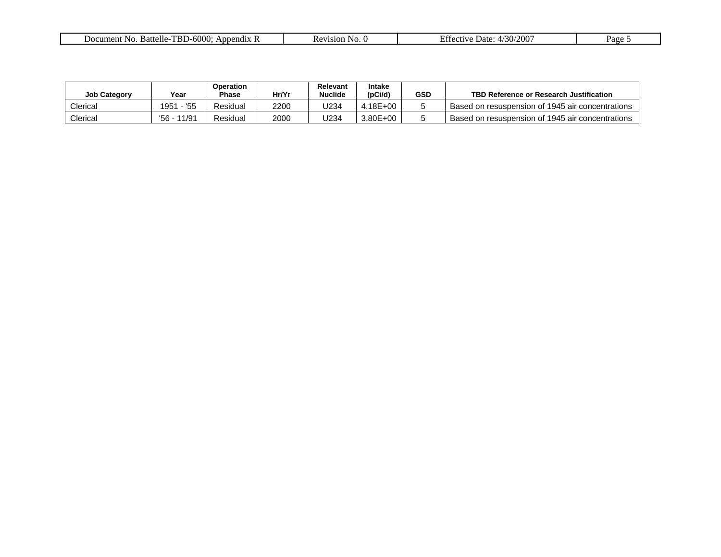| $\sim$<br><b>----</b><br>ittelle<br>-No<br>cument<br>Appendix R<br>ва<br>000 N<br>ז-נחה | <b>No</b> | 0.007<br>$\sqrt{2}$<br>Date <sup>-</sup><br>rective<br>/311<br>ZUU | Page |
|-----------------------------------------------------------------------------------------|-----------|--------------------------------------------------------------------|------|
|                                                                                         |           |                                                                    |      |

| <b>Job Category</b> | Year           | Operation<br>Phase | Hr/Yr | Relevant<br><b>Nuclide</b> | <b>Intake</b><br>(pCi/d) | GSD | TBD Reference or Research Justification          |
|---------------------|----------------|--------------------|-------|----------------------------|--------------------------|-----|--------------------------------------------------|
| Clerical            | 1951<br>'55    | Residual           | 2200  | J234                       | .18E+00                  |     | Based on resuspension of 1945 air concentrations |
| Clerical            | 11/91<br>'56 - | Residual           | 2000  | J234                       | $3.80E + 00$             |     | Based on resuspension of 1945 air concentrations |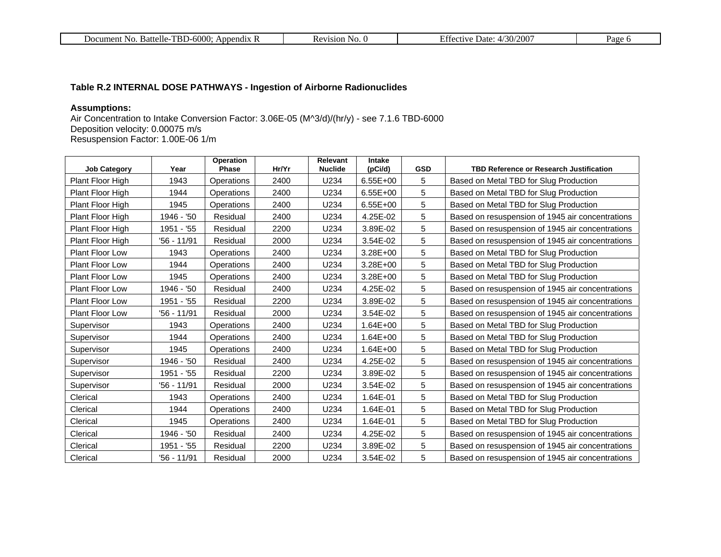| $-6000:$<br><b>TBL</b><br><b>Battelle</b><br>Append <sub>1</sub><br>NG.<br>Document | .sion-<br>'NO.<br>. . | /200<br>$\cap$<br>$\ldots$ rective $\ldots$<br>⊃ate∙<br>$'50'$ . | $\overline{\phantom{a}}$<br>. av |
|-------------------------------------------------------------------------------------|-----------------------|------------------------------------------------------------------|----------------------------------|
|-------------------------------------------------------------------------------------|-----------------------|------------------------------------------------------------------|----------------------------------|

### **Table R.2 INTERNAL DOSE PATHWAYS - Ingestion of Airborne Radionuclides**

### **Assumptions:**

Air Concentration to Intake Conversion Factor: 3.06E-05 (M^3/d)/(hr/y) - see 7.1.6 TBD-6000 Deposition velocity: 0.00075 m/s Resuspension Factor: 1.00E-06 1/m

| <b>Job Category</b>    | Year        | <b>Operation</b><br>Phase | Hr/Yr | Relevant<br><b>Nuclide</b> | <b>Intake</b><br>(pCi/d) | <b>GSD</b> | <b>TBD Reference or Research Justification</b>   |
|------------------------|-------------|---------------------------|-------|----------------------------|--------------------------|------------|--------------------------------------------------|
| Plant Floor High       | 1943        | Operations                | 2400  | U234                       | 6.55E+00                 | 5          | Based on Metal TBD for Slug Production           |
| Plant Floor High       | 1944        | Operations                | 2400  | U234                       | 6.55E+00                 | 5          | Based on Metal TBD for Slug Production           |
| Plant Floor High       | 1945        | Operations                | 2400  | U234                       | 6.55E+00                 | 5          | Based on Metal TBD for Slug Production           |
| Plant Floor High       | 1946 - '50  | Residual                  | 2400  | U234                       | 4.25E-02                 | 5          | Based on resuspension of 1945 air concentrations |
| Plant Floor High       | 1951 - '55  | Residual                  | 2200  | U234                       | 3.89E-02                 | 5          | Based on resuspension of 1945 air concentrations |
| Plant Floor High       | '56 - 11/91 | Residual                  | 2000  | U234                       | 3.54E-02                 | 5          | Based on resuspension of 1945 air concentrations |
| Plant Floor Low        | 1943        | Operations                | 2400  | U234                       | 3.28E+00                 | 5          | Based on Metal TBD for Slug Production           |
| <b>Plant Floor Low</b> | 1944        | Operations                | 2400  | U234                       | 3.28E+00                 | 5          | Based on Metal TBD for Slug Production           |
| <b>Plant Floor Low</b> | 1945        | Operations                | 2400  | U234                       | 3.28E+00                 | 5          | Based on Metal TBD for Slug Production           |
| <b>Plant Floor Low</b> | 1946 - '50  | Residual                  | 2400  | U234                       | 4.25E-02                 | 5          | Based on resuspension of 1945 air concentrations |
| Plant Floor Low        | 1951 - '55  | Residual                  | 2200  | U234                       | 3.89E-02                 | 5          | Based on resuspension of 1945 air concentrations |
| Plant Floor Low        | '56 - 11/91 | Residual                  | 2000  | U234                       | 3.54E-02                 | 5          | Based on resuspension of 1945 air concentrations |
| Supervisor             | 1943        | Operations                | 2400  | U234                       | $1.64E + 00$             | 5          | Based on Metal TBD for Slug Production           |
| Supervisor             | 1944        | Operations                | 2400  | U234                       | $1.64E + 00$             | 5          | Based on Metal TBD for Slug Production           |
| Supervisor             | 1945        | Operations                | 2400  | U234                       | $1.64E + 00$             | 5          | Based on Metal TBD for Slug Production           |
| Supervisor             | 1946 - '50  | Residual                  | 2400  | U234                       | 4.25E-02                 | 5          | Based on resuspension of 1945 air concentrations |
| Supervisor             | 1951 - '55  | Residual                  | 2200  | U234                       | 3.89E-02                 | 5          | Based on resuspension of 1945 air concentrations |
| Supervisor             | '56 - 11/91 | Residual                  | 2000  | U234                       | 3.54E-02                 | 5          | Based on resuspension of 1945 air concentrations |
| Clerical               | 1943        | Operations                | 2400  | U234                       | 1.64E-01                 | 5          | Based on Metal TBD for Slug Production           |
| Clerical               | 1944        | Operations                | 2400  | U234                       | 1.64E-01                 | 5          | Based on Metal TBD for Slug Production           |
| Clerical               | 1945        | Operations                | 2400  | U234                       | 1.64E-01                 | 5          | Based on Metal TBD for Slug Production           |
| Clerical               | 1946 - '50  | Residual                  | 2400  | U234                       | 4.25E-02                 | 5          | Based on resuspension of 1945 air concentrations |
| Clerical               | 1951 - '55  | Residual                  | 2200  | U234                       | 3.89E-02                 | 5          | Based on resuspension of 1945 air concentrations |
| Clerical               | '56 - 11/91 | Residual                  | 2000  | U234                       | 3.54E-02                 | 5          | Based on resuspension of 1945 air concentrations |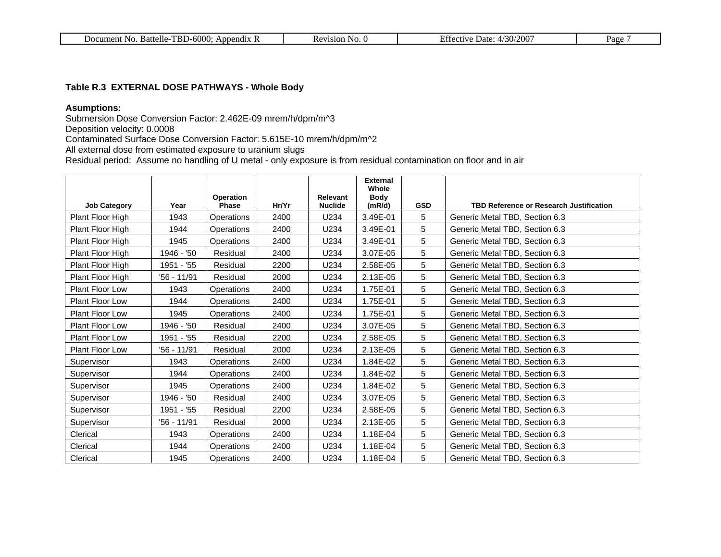| $TBD-6000:$<br>Battelle<br>Document No.<br>Annendix | NO.<br>1S1OF | 200°<br>'30'<br>Date:<br>. ctive<br>. | Page |
|-----------------------------------------------------|--------------|---------------------------------------|------|
|-----------------------------------------------------|--------------|---------------------------------------|------|

#### **Table R.3 EXTERNAL DOSE PATHWAYS - Whole Body**

#### **Asumptions:**

Submersion Dose Conversion Factor: 2.462E-09 mrem/h/dpm/m^3

Deposition velocity: 0.0008

Contaminated Surface Dose Conversion Factor: 5.615E-10 mrem/h/dpm/m^2

All external dose from estimated exposure to uranium slugs

Residual period: Assume no handling of U metal - only exposure is from residual contamination on floor and in air

|                        |             |                           |       |                            | <b>External</b><br>Whole |            |                                                |
|------------------------|-------------|---------------------------|-------|----------------------------|--------------------------|------------|------------------------------------------------|
| <b>Job Category</b>    | Year        | <b>Operation</b><br>Phase | Hr/Yr | Relevant<br><b>Nuclide</b> | Body<br>(mR/d)           | <b>GSD</b> | <b>TBD Reference or Research Justification</b> |
| Plant Floor High       | 1943        | Operations                | 2400  | U234                       | 3.49E-01                 | 5          | Generic Metal TBD, Section 6.3                 |
| Plant Floor High       | 1944        | Operations                | 2400  | U234                       | 3.49E-01                 | 5          | Generic Metal TBD, Section 6.3                 |
| Plant Floor High       | 1945        | Operations                | 2400  | U234                       | 3.49E-01                 | 5          | Generic Metal TBD, Section 6.3                 |
| Plant Floor High       | 1946 - '50  | Residual                  | 2400  | U234                       | 3.07E-05                 | 5          | Generic Metal TBD, Section 6.3                 |
| Plant Floor High       | 1951 - '55  | Residual                  | 2200  | U234                       | 2.58E-05                 | 5          | Generic Metal TBD, Section 6.3                 |
| Plant Floor High       | '56 - 11/91 | Residual                  | 2000  | U234                       | 2.13E-05                 | 5          | Generic Metal TBD, Section 6.3                 |
| Plant Floor Low        | 1943        | Operations                | 2400  | U234                       | 1.75E-01                 | 5          | Generic Metal TBD, Section 6.3                 |
| Plant Floor Low        | 1944        | Operations                | 2400  | U234                       | 1.75E-01                 | 5          | Generic Metal TBD, Section 6.3                 |
| Plant Floor Low        | 1945        | Operations                | 2400  | U234                       | 1.75E-01                 | 5          | Generic Metal TBD, Section 6.3                 |
| <b>Plant Floor Low</b> | 1946 - '50  | Residual                  | 2400  | U234                       | 3.07E-05                 | 5          | Generic Metal TBD, Section 6.3                 |
| <b>Plant Floor Low</b> | 1951 - '55  | Residual                  | 2200  | U234                       | 2.58E-05                 | 5          | Generic Metal TBD, Section 6.3                 |
| Plant Floor Low        | '56 - 11/91 | Residual                  | 2000  | U234                       | 2.13E-05                 | 5          | Generic Metal TBD, Section 6.3                 |
| Supervisor             | 1943        | Operations                | 2400  | U234                       | 1.84E-02                 | 5          | Generic Metal TBD, Section 6.3                 |
| Supervisor             | 1944        | Operations                | 2400  | U234                       | 1.84E-02                 | 5          | Generic Metal TBD, Section 6.3                 |
| Supervisor             | 1945        | Operations                | 2400  | U234                       | 1.84E-02                 | 5          | Generic Metal TBD, Section 6.3                 |
| Supervisor             | 1946 - '50  | Residual                  | 2400  | U234                       | 3.07E-05                 | 5          | Generic Metal TBD, Section 6.3                 |
| Supervisor             | 1951 - '55  | Residual                  | 2200  | U234                       | 2.58E-05                 | 5          | Generic Metal TBD, Section 6.3                 |
| Supervisor             | '56 - 11/91 | Residual                  | 2000  | U234                       | 2.13E-05                 | 5          | Generic Metal TBD, Section 6.3                 |
| Clerical               | 1943        | Operations                | 2400  | U234                       | 1.18E-04                 | 5          | Generic Metal TBD, Section 6.3                 |
| Clerical               | 1944        | Operations                | 2400  | U234                       | 1.18E-04                 | 5          | Generic Metal TBD, Section 6.3                 |
| Clerical               | 1945        | Operations                | 2400  | U234                       | 1.18E-04                 | 5          | Generic Metal TBD, Section 6.3                 |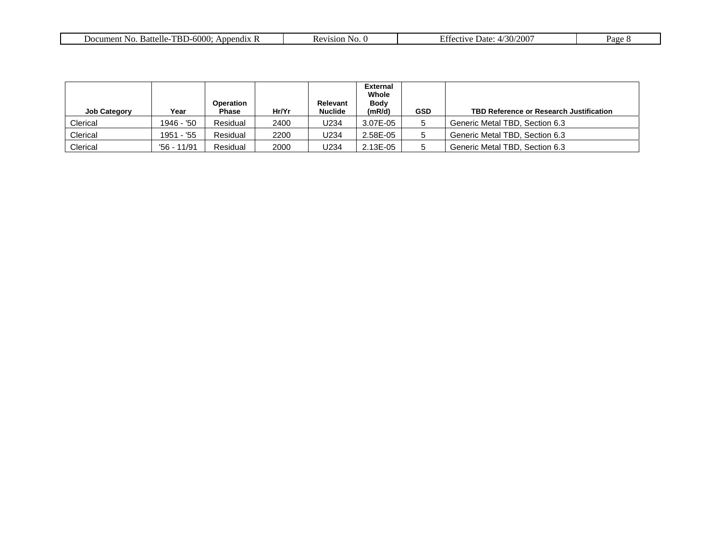| ے م<br>TRI<br>Nο<br>Battelle-<br>Appendix R<br>ument<br>DIJ-0000 | evision<br>NO. | $\sim$ $\sim$<br>ാററ<br>tective Date:<br>ZUU I<br>4/30 | $P_{\text{age}}$ |
|------------------------------------------------------------------|----------------|--------------------------------------------------------|------------------|
|                                                                  |                |                                                        |                  |

| <b>Job Category</b> | Year        | Operation<br><b>Phase</b> | Hr/Yr | <b>Relevant</b><br><b>Nuclide</b> | <b>External</b><br>Whole<br><b>Body</b><br>(mR/d) | <b>GSD</b> | TBD Reference or Research Justification |
|---------------------|-------------|---------------------------|-------|-----------------------------------|---------------------------------------------------|------------|-----------------------------------------|
| Clerical            | 1946 - '50  | Residual                  | 2400  | U234                              | 3.07E-05                                          |            | Generic Metal TBD, Section 6.3          |
| Clerical            | 1951 - '55  | Residual                  | 2200  | U234                              | 2.58E-05                                          | 5          | Generic Metal TBD, Section 6.3          |
| Clerical            | '56 - 11/91 | Residual                  | 2000  | U234                              | 2.13E-05                                          | 5          | Generic Metal TBD, Section 6.3          |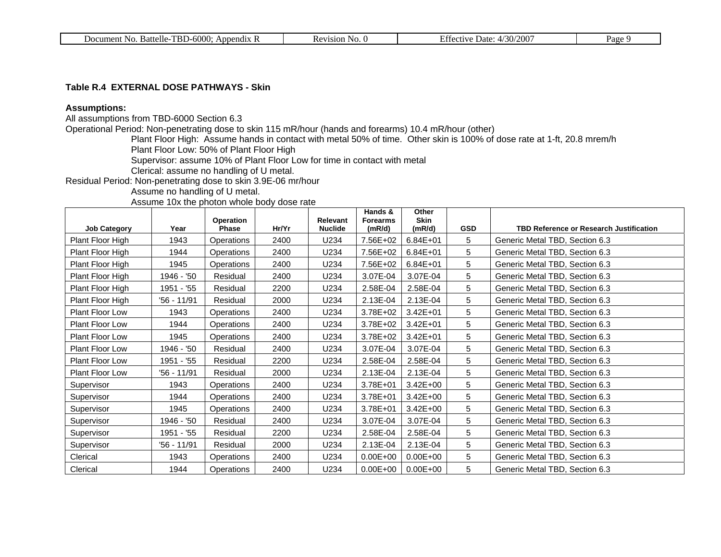#### **Table R.4 EXTERNAL DOSE PATHWAYS - Skin**

#### **Assumptions:**

All assumptions from TBD-6000 Section 6.3

Operational Period: Non-penetrating dose to skin 115 mR/hour (hands and forearms) 10.4 mR/hour (other)

Plant Floor High: Assume hands in contact with metal 50% of time. Other skin is 100% of dose rate at 1-ft, 20.8 mrem/h Plant Floor Low: 50% of Plant Floor High

Supervisor: assume 10% of Plant Floor Low for time in contact with metal

Clerical: assume no handling of U metal.

Residual Period: Non-penetrating dose to skin 3.9E-06 mr/hour

Assume no handling of U metal.

Assume 10x the photon whole body dose rate

|                     |             |                    |       |                            | Hands &                   | Other                 |            |                                                |
|---------------------|-------------|--------------------|-------|----------------------------|---------------------------|-----------------------|------------|------------------------------------------------|
| <b>Job Category</b> | Year        | Operation<br>Phase | Hr/Yr | Relevant<br><b>Nuclide</b> | <b>Forearms</b><br>(mR/d) | <b>Skin</b><br>(mR/d) | <b>GSD</b> | <b>TBD Reference or Research Justification</b> |
| Plant Floor High    | 1943        | Operations         | 2400  | U234                       | 7.56E+02                  | 6.84E+01              | 5          | Generic Metal TBD, Section 6.3                 |
| Plant Floor High    | 1944        | Operations         | 2400  | U234                       | 7.56E+02                  | $6.84E + 01$          | 5          | Generic Metal TBD, Section 6.3                 |
| Plant Floor High    | 1945        | Operations         | 2400  | U234                       | 7.56E+02                  | 6.84E+01              | 5          | Generic Metal TBD, Section 6.3                 |
| Plant Floor High    | 1946 - '50  | Residual           | 2400  | U234                       | 3.07E-04                  | 3.07E-04              | 5          | Generic Metal TBD, Section 6.3                 |
| Plant Floor High    | 1951 - '55  | Residual           | 2200  | U234                       | 2.58E-04                  | 2.58E-04              | 5          | Generic Metal TBD, Section 6.3                 |
| Plant Floor High    | '56 - 11/91 | Residual           | 2000  | U234                       | 2.13E-04                  | 2.13E-04              | 5          | Generic Metal TBD, Section 6.3                 |
| Plant Floor Low     | 1943        | Operations         | 2400  | U234                       | 3.78E+02                  | $3.42E + 01$          | 5          | Generic Metal TBD, Section 6.3                 |
| Plant Floor Low     | 1944        | Operations         | 2400  | U234                       | 3.78E+02                  | $3.42E + 01$          | 5          | Generic Metal TBD, Section 6.3                 |
| Plant Floor Low     | 1945        | Operations         | 2400  | U234                       | 3.78E+02                  | $3.42E + 01$          | 5          | Generic Metal TBD, Section 6.3                 |
| Plant Floor Low     | 1946 - '50  | Residual           | 2400  | U234                       | 3.07E-04                  | 3.07E-04              | 5          | Generic Metal TBD, Section 6.3                 |
| Plant Floor Low     | 1951 - '55  | Residual           | 2200  | U234                       | 2.58E-04                  | 2.58E-04              | 5          | Generic Metal TBD, Section 6.3                 |
| Plant Floor Low     | '56 - 11/91 | Residual           | 2000  | U234                       | 2.13E-04                  | 2.13E-04              | 5          | Generic Metal TBD, Section 6.3                 |
| Supervisor          | 1943        | Operations         | 2400  | U234                       | 3.78E+01                  | $3.42E + 00$          | 5          | Generic Metal TBD, Section 6.3                 |
| Supervisor          | 1944        | Operations         | 2400  | U234                       | 3.78E+01                  | 3.42E+00              | 5          | Generic Metal TBD, Section 6.3                 |
| Supervisor          | 1945        | Operations         | 2400  | U234                       | 3.78E+01                  | $3.42E + 00$          | 5          | Generic Metal TBD, Section 6.3                 |
| Supervisor          | 1946 - '50  | Residual           | 2400  | U234                       | 3.07E-04                  | 3.07E-04              | 5          | Generic Metal TBD, Section 6.3                 |
| Supervisor          | 1951 - '55  | Residual           | 2200  | U234                       | 2.58E-04                  | 2.58E-04              | 5          | Generic Metal TBD, Section 6.3                 |
| Supervisor          | '56 - 11/91 | Residual           | 2000  | U234                       | 2.13E-04                  | 2.13E-04              | 5          | Generic Metal TBD, Section 6.3                 |
| Clerical            | 1943        | Operations         | 2400  | U234                       | $0.00E + 00$              | $0.00E + 00$          | 5          | Generic Metal TBD, Section 6.3                 |
| Clerical            | 1944        | Operations         | 2400  | U234                       | $0.00E + 00$              | $0.00E + 00$          | 5          | Generic Metal TBD, Section 6.3                 |